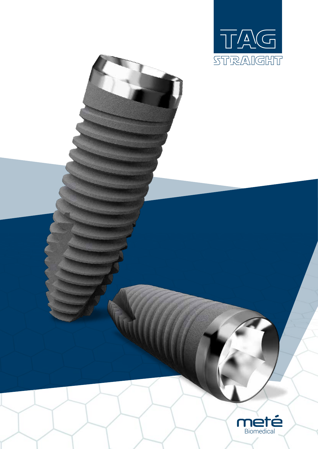

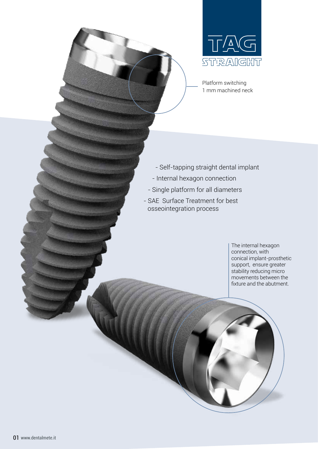

Platform switching 1 mm machined neck

- Self-tapping straight dental implant
- Internal hexagon connection
- Single platform for all diameters
- SAE Surface Treatment for best osseointegration process

The internal hexagon connection, with conical implant-prosthetic support, ensure greater stability reducing micro movements between the fixture and the abutment.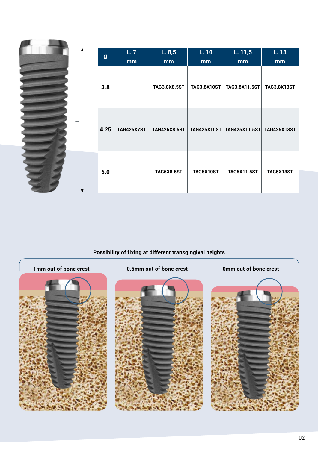|   |      | L.7               | L.8,5               | L. 10              | L. 11, 5                              | L. 13              |
|---|------|-------------------|---------------------|--------------------|---------------------------------------|--------------------|
|   | Ø    | mm                | mm                  | mm                 | mm                                    | mm                 |
|   | 3.8  |                   | <b>TAG3.8X8.5ST</b> | <b>TAG3.8X10ST</b> | TAG3.8X11.5ST                         | <b>TAG3.8X13ST</b> |
| ᆜ | 4.25 | <b>TAG425X7ST</b> | TAG425X8.5ST        |                    | TAG425X10ST TAG425X11.5ST TAG425X13ST |                    |
|   | 5.0  |                   | <b>TAG5X8.5ST</b>   | <b>TAG5X10ST</b>   | <b>TAG5X11.5ST</b>                    | <b>TAG5X13ST</b>   |

## **Possibility of fixing at different transgingival heights**

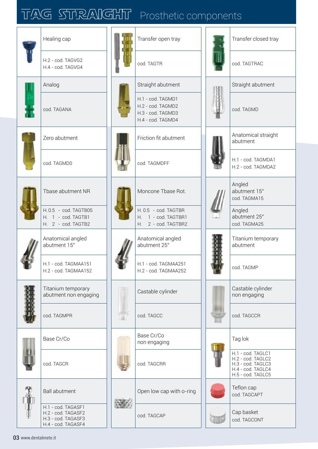## TAG STRAIGHT Prosthetic components

4,1 SCRPPR005 4,7 SCRPPR009

|    | Healing cap                                                                          |     | Transfer open tray                                                               |                          | Transfer closed tray                                                                                  |  |
|----|--------------------------------------------------------------------------------------|-----|----------------------------------------------------------------------------------|--------------------------|-------------------------------------------------------------------------------------------------------|--|
|    | H.2 - cod. TAGVG2<br>H.4 - cod. TAGVG4                                               |     | cod. TAGTR                                                                       |                          | cod. TAGTRAC                                                                                          |  |
|    | Analog                                                                               |     | Straight abutment                                                                |                          | Straight abutment                                                                                     |  |
|    | cod. TAGANA                                                                          |     | H.1 - cod. TAGMD1<br>H.2 - cod. TAGMD2<br>H.3 - cod. TAGMD3<br>H.4 - cod. TAGMD4 |                          | cod. TAGMD                                                                                            |  |
|    | Zero abutment                                                                        |     | Friction fit abutment                                                            |                          | Anatomical straight<br>abutment                                                                       |  |
|    | cod. TAGMD0                                                                          |     | cod. TAGMDFF                                                                     |                          | H.1 - cod. TAGMDA1<br>H.2 - cod. TAGMDA2                                                              |  |
|    | Tbase abutment NR                                                                    |     | Moncone Tbase Rot.                                                               |                          | Angled<br>abutment 15°<br>cod. TAGMA15                                                                |  |
|    | H. 0.5 - cod. TAGTB05<br>H. 1 - cod. TAGTB1<br>H. 2 - cod. TAGTB2                    |     | H. 0.5 - cod. TAGTBR<br>H. 1 - cod. TAGTBR1<br>H. 2 - cod. TAGTBR2               | $\overline{\phantom{a}}$ | Angled<br>abutment 25°<br>cod. TAGMA25                                                                |  |
|    | Anatomical angled<br>abutment 15°                                                    |     | Anatomical angled<br>abutment 25°                                                |                          | Titanium temporary<br>abutment                                                                        |  |
|    | H.1 - cod. TAGMAA151<br>H.2 - cod. TAGMAA152                                         |     | H.1 - cod. TAGMAA251<br>H.2 - cod. TAGMAA252                                     |                          | cod. TAGMP                                                                                            |  |
| S. | Titanium temporary<br>abutment non engaging                                          |     | Castable cylinder                                                                |                          | Castable cylinder<br>non engaging                                                                     |  |
|    | cod. TAGMPR                                                                          | UI. | cod. TAGCC                                                                       |                          | cod. TAGCCR                                                                                           |  |
|    | Base Cr/Co                                                                           |     | Base Cr/Co<br>non engaging                                                       |                          | Tag lok                                                                                               |  |
|    | cod. TAGCR                                                                           |     | cod. TAGCRR                                                                      |                          | H.1 - cod. TAGLC1<br>H.2 - cod. TAGLC2<br>H.3 - cod. TAGLC3<br>H.4 - cod. TAGLC4<br>H.5 - cod. TAGLC5 |  |
|    | <b>Ball abutment</b>                                                                 |     | Open low cap with o-ring                                                         |                          | Teflon cap<br>cod. TAGCAPT                                                                            |  |
|    | H.1 - cod. TAGASF1<br>H.2 - cod. TAGASF2<br>H.3 - cod. TAGASF3<br>H.4 - cod. TAGASF4 |     | cod. TAGCAP                                                                      |                          | Cap basket<br>cod. TAGCONT                                                                            |  |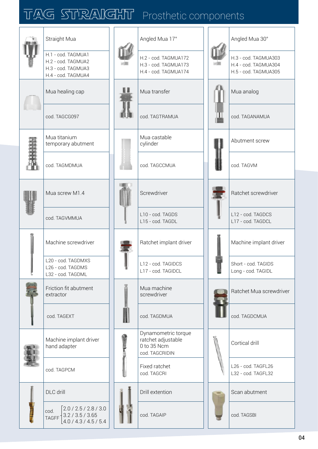## TAG STRAIGHT Prosthetic components

|  | Straight Mua                                                                               | Angled Mua 17°                                                             | Angled Mua 30°                                                       |  |
|--|--------------------------------------------------------------------------------------------|----------------------------------------------------------------------------|----------------------------------------------------------------------|--|
|  | H.1 - cod. TAGMUA1<br>H.2 - cod. TAGMUA2<br>H.3 - cod. TAGMUA3<br>H.4 - cod. TAGMUA4       | H.2 - cod. TAGMUA172<br>H.3 - cod. TAGMUA173<br>H.4 - cod. TAGMUA174       | H.3 - cod. TAGMUA303<br>H.4 - cod. TAGMUA304<br>H.5 - cod. TAGMUA305 |  |
|  | Mua healing cap                                                                            | Mua transfer                                                               | Mua analog                                                           |  |
|  | cod. TAGCG097                                                                              | cod. TAGTRAMUA                                                             | cod. TAGANAMUA                                                       |  |
|  | Mua titanium<br>temporary abutment                                                         | Mua castable<br>cylinder                                                   | Abutment screw                                                       |  |
|  | cod. TAGMDMUA                                                                              | cod. TAGCCMUA                                                              | cod. TAGVM                                                           |  |
|  | Mua screw M1.4                                                                             | Screwdriver                                                                | Ratchet screwdriver                                                  |  |
|  | cod. TAGVMMUA                                                                              | L10 - cod. TAGDS<br>L15 - cod. TAGDL                                       | L12 - cod. TAGDCS<br>L17 - cod. TAGDCL                               |  |
|  | Machine screwdriver                                                                        | Ratchet implant driver                                                     | Machine implant driver                                               |  |
|  | L20 - cod. TAGDMXS<br>L26 - cod. TAGDMS<br>L32 - cod. TAGDML                               | L12 - cod. TAGIDCS<br>L17 - cod. TAGIDCL                                   | Short - cod. TAGIDS<br>Long - cod. TAGIDL                            |  |
|  | Friction fit abutment<br>extractor                                                         | Mua machine<br>screwdriver                                                 | Ratchet Mua screwdriver                                              |  |
|  | cod. TAGEXT                                                                                | cod. TAGDMUA                                                               | cod. TAGDCMUA                                                        |  |
|  | Machine implant driver<br>hand adapter                                                     | Dynamometric torque<br>ratchet adjustable<br>0 to 35 Ncm<br>cod. TAGCRIDIN | Cortical drill                                                       |  |
|  | cod. TAGPCM                                                                                | Fixed ratchet<br>cod. TAGCRI                                               | L26 - cod. TAGFL26<br>L32 - cod. TAGFL32                             |  |
|  | DLC drill                                                                                  | Drill extention                                                            | Scan abutment                                                        |  |
|  | 2.0 / 2.5 / 2.8 / 3.0<br>cod.<br>3.2 / 3.5 / 3.65<br><b>TAGFF</b><br>4.0 / 4.3 / 4.5 / 5.4 | cod. TAGAIP                                                                | cod. TAGSBI                                                          |  |